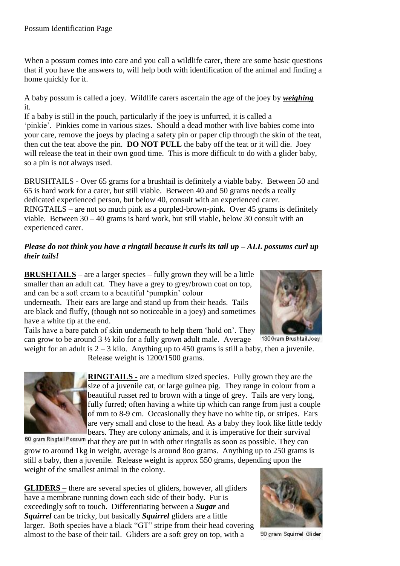When a possum comes into care and you call a wildlife carer, there are some basic questions that if you have the answers to, will help both with identification of the animal and finding a home quickly for it.

A baby possum is called a joey. Wildlife carers ascertain the age of the joey by *weighing* it.

If a baby is still in the pouch, particularly if the joey is unfurred, it is called a 'pinkie'. Pinkies come in various sizes. Should a dead mother with live babies come into your care, remove the joeys by placing a safety pin or paper clip through the skin of the teat, then cut the teat above the pin. **DO NOT PULL** the baby off the teat or it will die. Joey will release the teat in their own good time. This is more difficult to do with a glider baby, so a pin is not always used.

BRUSHTAILS - Over 65 grams for a brushtail is definitely a viable baby. Between 50 and 65 is hard work for a carer, but still viable. Between 40 and 50 grams needs a really dedicated experienced person, but below 40, consult with an experienced carer. RINGTAILS – are not so much pink as a purpled-brown-pink. Over 45 grams is definitely viable. Between 30 – 40 grams is hard work, but still viable, below 30 consult with an experienced carer.

## *Please do not think you have a ringtail because it curls its tail up – ALL possums curl up their tails!*

**BRUSHTAILS** – are a larger species – fully grown they will be a little smaller than an adult cat. They have a grey to grey/brown coat on top, and can be a soft cream to a beautiful 'pumpkin' colour underneath. Their ears are large and stand up from their heads. Tails

are black and fluffy, (though not so noticeable in a joey) and sometimes have a white tip at the end.

Tails have a bare patch of skin underneath to help them 'hold on'. They can grow to be around 3 ½ kilo for a fully grown adult male. Average

Release weight is 1200/1500 grams.



130 Gram Brushtail Joey weight for an adult is  $2 - 3$  kilo. Anything up to 450 grams is still a baby, then a juvenile.



**RINGTAILS -** are a medium sized species. Fully grown they are the size of a juvenile cat, or large guinea pig. They range in colour from a beautiful russet red to brown with a tinge of grey. Tails are very long, fully furred; often having a white tip which can range from just a couple of mm to 8-9 cm. Occasionally they have no white tip, or stripes. Ears are very small and close to the head. As a baby they look like little teddy bears. They are colony animals, and it is imperative for their survival

60 gram Ringtail Possum that they are put in with other ringtails as soon as possible. They can grow to around 1kg in weight, average is around 8oo grams. Anything up to 250 grams is still a baby, then a juvenile. Release weight is approx 550 grams, depending upon the weight of the smallest animal in the colony.

**GLIDERS –** there are several species of gliders, however, all gliders have a membrane running down each side of their body. Fur is exceedingly soft to touch. Differentiating between a *Sugar* and *Squirrel* can be tricky, but basically *Squirrel* gliders are a little larger. Both species have a black "GT" stripe from their head covering almost to the base of their tail. Gliders are a soft grey on top, with a



90 gram Squirrel Glider